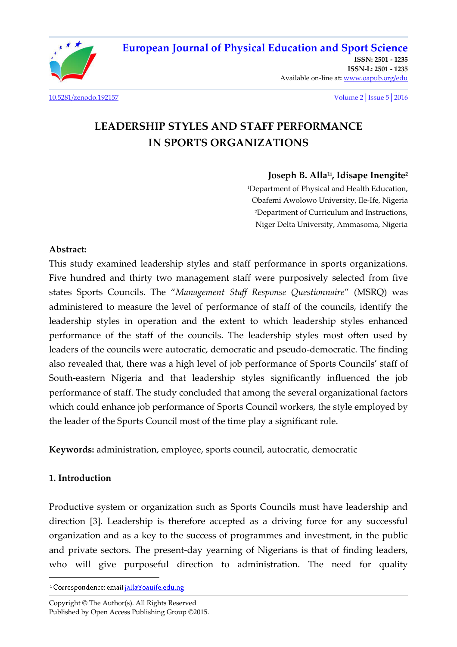

[10.5281/zenodo.192157](http://dx.doi.org/10.5281/zenodo.192157) Volume 2│Issue 5│2016

# **LEADERSHIP STYLES AND STAFF PERFORMANCE IN SPORTS ORGANIZATIONS**

### **Joseph B. Alla1i, Idisape Inengite<sup>2</sup>**

<sup>1</sup>Department of Physical and Health Education, Obafemi Awolowo University, Ile-Ife, Nigeria <sup>2</sup>Department of Curriculum and Instructions, Niger Delta University, Ammasoma, Nigeria

### **Abstract:**

This study examined leadership styles and staff performance in sports organizations. Five hundred and thirty two management staff were purposively selected from five states Sports Councils. The "Management Staff Response Questionnaire" (MSRQ) was administered to measure the level of performance of staff of the councils, identify the leadership styles in operation and the extent to which leadership styles enhanced performance of the staff of the councils. The leadership styles most often used by leaders of the councils were autocratic, democratic and pseudo-democratic. The finding also revealed that, there was a high level of job performance of Sports Councils' staff of South-eastern Nigeria and that leadership styles significantly influenced the job performance of staff. The study concluded that among the several organizational factors which could enhance job performance of Sports Council workers, the style employed by the leader of the Sports Council most of the time play a significant role.

**Keywords:** administration, employee, sports council, autocratic, democratic

# **1. Introduction**

l

Productive system or organization such as Sports Councils must have leadership and direction [3]. Leadership is therefore accepted as a driving force for any successful organization and as a key to the success of programmes and investment, in the public and private sectors. The present-day yearning of Nigerians is that of finding leaders, who will give purposeful direction to administration. The need for quality

<sup>&</sup>lt;sup>1</sup> Correspondence: email jalla@oauife.edu.ng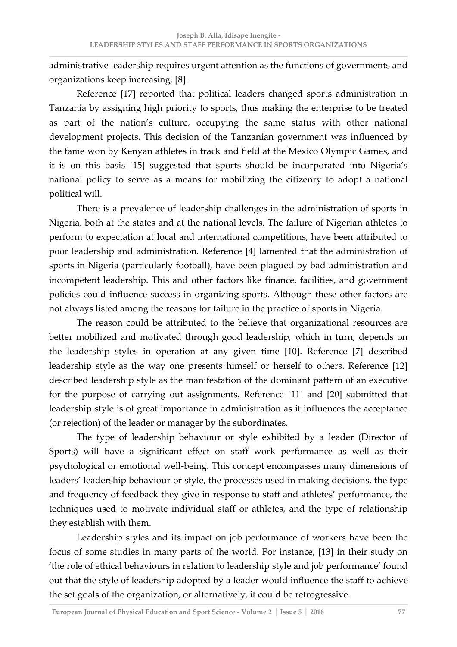administrative leadership requires urgent attention as the functions of governments and organizations keep increasing, [8].

 Reference [17] reported that political leaders changed sports administration in Tanzania by assigning high priority to sports, thus making the enterprise to be treated as part of the nation's culture, occupying the same status with other national development projects. This decision of the Tanzanian government was influenced by the fame won by Kenyan athletes in track and field at the Mexico Olympic Games, and it is on this basis [15] suggested that sports should be incorporated into Nigeria's national policy to serve as a means for mobilizing the citizenry to adopt a national political will.

 There is a prevalence of leadership challenges in the administration of sports in Nigeria, both at the states and at the national levels. The failure of Nigerian athletes to perform to expectation at local and international competitions, have been attributed to poor leadership and administration. Reference [4] lamented that the administration of sports in Nigeria (particularly football), have been plagued by bad administration and incompetent leadership. This and other factors like finance, facilities, and government policies could influence success in organizing sports. Although these other factors are not always listed among the reasons for failure in the practice of sports in Nigeria.

 The reason could be attributed to the believe that organizational resources are better mobilized and motivated through good leadership, which in turn, depends on the leadership styles in operation at any given time [10]. Reference [7] described leadership style as the way one presents himself or herself to others. Reference [12] described leadership style as the manifestation of the dominant pattern of an executive for the purpose of carrying out assignments. Reference [11] and [20] submitted that leadership style is of great importance in administration as it influences the acceptance (or rejection) of the leader or manager by the subordinates.

 The type of leadership behaviour or style exhibited by a leader (Director of Sports) will have a significant effect on staff work performance as well as their psychological or emotional well-being. This concept encompasses many dimensions of leaders' leadership behaviour or style, the processes used in making decisions, the type and frequency of feedback they give in response to staff and athletes' performance, the techniques used to motivate individual staff or athletes, and the type of relationship they establish with them.

 Leadership styles and its impact on job performance of workers have been the focus of some studies in many parts of the world. For instance, [13] in their study on 'the role of ethical behaviours in relation to leadership style and job performance' found out that the style of leadership adopted by a leader would influence the staff to achieve the set goals of the organization, or alternatively, it could be retrogressive.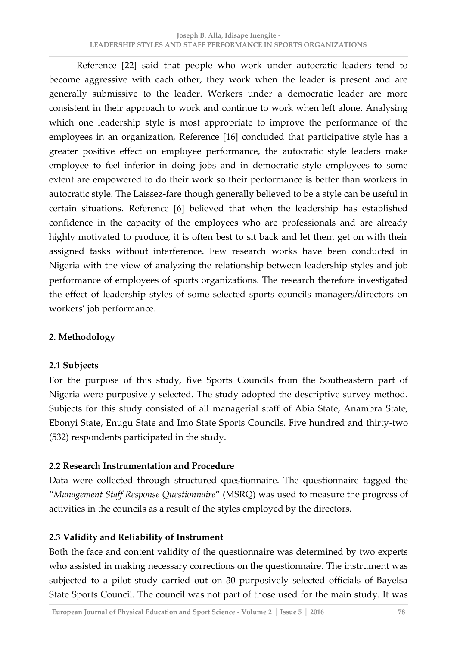Reference [22] said that people who work under autocratic leaders tend to become aggressive with each other, they work when the leader is present and are generally submissive to the leader. Workers under a democratic leader are more consistent in their approach to work and continue to work when left alone. Analysing which one leadership style is most appropriate to improve the performance of the employees in an organization, Reference [16] concluded that participative style has a greater positive effect on employee performance, the autocratic style leaders make employee to feel inferior in doing jobs and in democratic style employees to some extent are empowered to do their work so their performance is better than workers in autocratic style. The Laissez-fare though generally believed to be a style can be useful in certain situations. Reference [6] believed that when the leadership has established confidence in the capacity of the employees who are professionals and are already highly motivated to produce, it is often best to sit back and let them get on with their assigned tasks without interference. Few research works have been conducted in Nigeria with the view of analyzing the relationship between leadership styles and job performance of employees of sports organizations. The research therefore investigated the effect of leadership styles of some selected sports councils managers/directors on workers' job performance.

# **2. Methodology**

# **2.1 Subjects**

For the purpose of this study, five Sports Councils from the Southeastern part of Nigeria were purposively selected. The study adopted the descriptive survey method. Subjects for this study consisted of all managerial staff of Abia State, Anambra State, Ebonyi State, Enugu State and Imo State Sports Councils. Five hundred and thirty-two (532) respondents participated in the study.

# **2.2 Research Instrumentation and Procedure**

Data were collected through structured questionnaire. The questionnaire tagged the ȃ*Management Staff Response Questionnaire*Ȅ (MSRQ) was used to measure the progress of activities in the councils as a result of the styles employed by the directors.

# **2.3 Validity and Reliability of Instrument**

Both the face and content validity of the questionnaire was determined by two experts who assisted in making necessary corrections on the questionnaire. The instrument was subjected to a pilot study carried out on 30 purposively selected officials of Bayelsa State Sports Council. The council was not part of those used for the main study. It was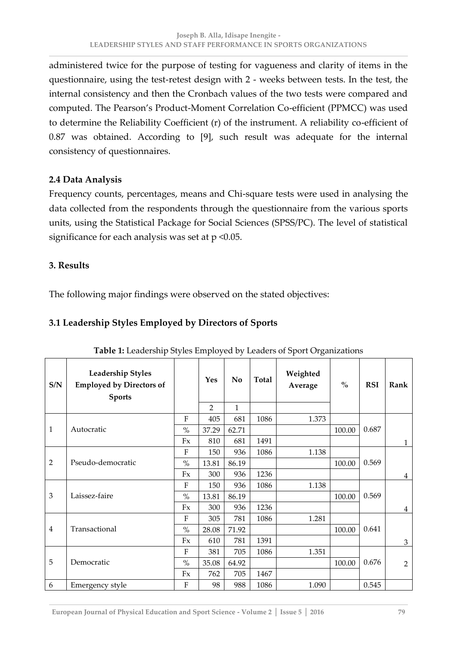administered twice for the purpose of testing for vagueness and clarity of items in the questionnaire, using the test-retest design with 2 - weeks between tests. In the test, the internal consistency and then the Cronbach values of the two tests were compared and computed. The Pearson's Product-Moment Correlation Co-efficient (PPMCC) was used to determine the Reliability Coefficient (r) of the instrument. A reliability co-efficient of 0.87 was obtained. According to [9], such result was adequate for the internal consistency of questionnaires.

### **2.4 Data Analysis**

Frequency counts, percentages, means and Chi-square tests were used in analysing the data collected from the respondents through the questionnaire from the various sports units, using the Statistical Package for Social Sciences (SPSS/PC). The level of statistical significance for each analysis was set at  $p \leq 0.05$ .

#### **3. Results**

The following major findings were observed on the stated objectives:

### **3.1 Leadership Styles Employed by Directors of Sports**

| S/N            | <b>Leadership Styles</b><br><b>Employed by Directors of</b><br><b>Sports</b> |               | Yes            | No    | Total | Weighted<br>Average | $\frac{0}{0}$ | <b>RSI</b> | Rank           |
|----------------|------------------------------------------------------------------------------|---------------|----------------|-------|-------|---------------------|---------------|------------|----------------|
|                |                                                                              |               | $\overline{2}$ | 1     |       |                     |               |            |                |
| $\mathbf{1}$   | Autocratic                                                                   | $\mathbf{F}$  | 405            | 681   | 1086  | 1.373               |               | 0.687      |                |
|                |                                                                              | $\frac{0}{0}$ | 37.29          | 62.71 |       |                     | 100.00        |            |                |
|                |                                                                              | Fx            | 810            | 681   | 1491  |                     |               |            | $\mathbf{1}$   |
| $\overline{2}$ | Pseudo-democratic                                                            | $\mathbf{F}$  | 150            | 936   | 1086  | 1.138               |               |            |                |
|                |                                                                              | $\%$          | 13.81          | 86.19 |       |                     | 100.00        | 0.569      |                |
|                |                                                                              | Fx            | 300            | 936   | 1236  |                     |               |            | $\overline{4}$ |
| 3              | Laissez-faire                                                                | $\rm F$       | 150            | 936   | 1086  | 1.138               |               | 0.569      |                |
|                |                                                                              | $\%$          | 13.81          | 86.19 |       |                     | 100.00        |            |                |
|                |                                                                              | Fx            | 300            | 936   | 1236  |                     |               |            | $\overline{4}$ |
| $\overline{4}$ | Transactional                                                                | F             | 305            | 781   | 1086  | 1.281               |               | 0.641      |                |
|                |                                                                              | $\%$          | 28.08          | 71.92 |       |                     | 100.00        |            |                |
|                |                                                                              | Fx            | 610            | 781   | 1391  |                     |               |            | 3              |
| 5              | Democratic                                                                   | F             | 381            | 705   | 1086  | 1.351               |               | 0.676      |                |
|                |                                                                              | $\%$          | 35.08          | 64.92 |       |                     | 100.00        |            | $\overline{2}$ |
|                |                                                                              | Fx            | 762            | 705   | 1467  |                     |               |            |                |
| 6              | Emergency style                                                              | F             | 98             | 988   | 1086  | 1.090               |               | 0.545      |                |

**Table 1:** Leadership Styles Employed by Leaders of Sport Organizations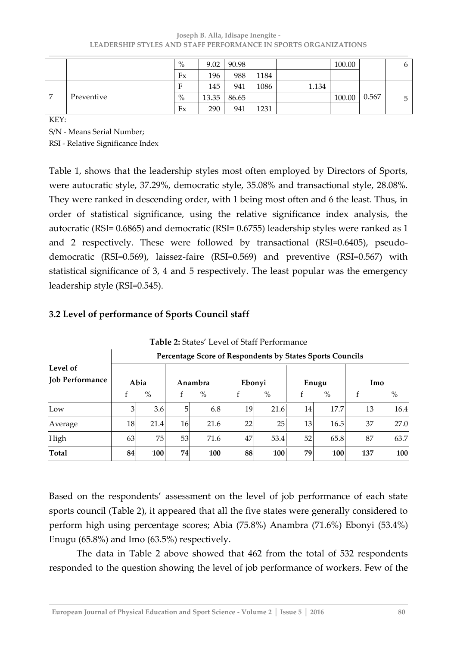#### **Joseph B. Alla, Idisape Inengite - LEADERSHIP STYLES AND STAFF PERFORMANCE IN SPORTS ORGANIZATIONS**

|                |            | $\%$ | 9.02  | 90.98 |      |       | 100.00 |       | O |
|----------------|------------|------|-------|-------|------|-------|--------|-------|---|
|                |            | Fx   | 196   | 988   | 1184 |       |        |       |   |
| $\overline{ }$ | Preventive |      | 145   | 941   | 1086 | 1.134 |        |       |   |
|                |            | $\%$ | 13.35 | 86.65 |      |       | 100.00 | 0.567 | ∽ |
|                |            | Fx   | 290   | 941   | 1231 |       |        |       |   |

KEY:

S/N - Means Serial Number;

RSI - Relative Significance Index

Table 1, shows that the leadership styles most often employed by Directors of Sports, were autocratic style, 37.29%, democratic style, 35.08% and transactional style, 28.08%. They were ranked in descending order, with 1 being most often and 6 the least. Thus, in order of statistical significance, using the relative significance index analysis, the autocratic (RSI= 0.6865) and democratic (RSI= 0.6755) leadership styles were ranked as 1 and 2 respectively. These were followed by transactional (RSI=0.6405), pseudodemocratic (RSI=0.569), laissez-faire (RSI=0.569) and preventive (RSI=0.567) with statistical significance of 3, 4 and 5 respectively. The least popular was the emergency leadership style (RSI=0.545).

#### **Level of Job Performance Percentage Score of Respondents by States Sports Councils Abia**  f  $\frac{9}{6}$ **Anambra**  f  $\%$ **Ebonyi**  f  $\frac{9}{6}$ **Enugu**  f  $\frac{9}{6}$ **Imo**  f  $\frac{9}{6}$ Low | 3| 3.6| 5| 6.8| 19| 21.6| 14| 17.7| 13| 16.4| Average 18 21.4 16 21.6 22 25 13 16.5 37 27.0 High 63 75 53 71.6 47 53.4 52 65.8 87 63.7 **Total 84 100 74 100 88 100 79 100 137 100**

### **3.2 Level of performance of Sports Council staff**

Table 2: States' Level of Staff Performance

Based on the respondents' assessment on the level of job performance of each state sports council (Table 2), it appeared that all the five states were generally considered to perform high using percentage scores; Abia (75.8%) Anambra (71.6%) Ebonyi (53.4%) Enugu (65.8%) and Imo (63.5%) respectively.

 The data in Table 2 above showed that 462 from the total of 532 respondents responded to the question showing the level of job performance of workers. Few of the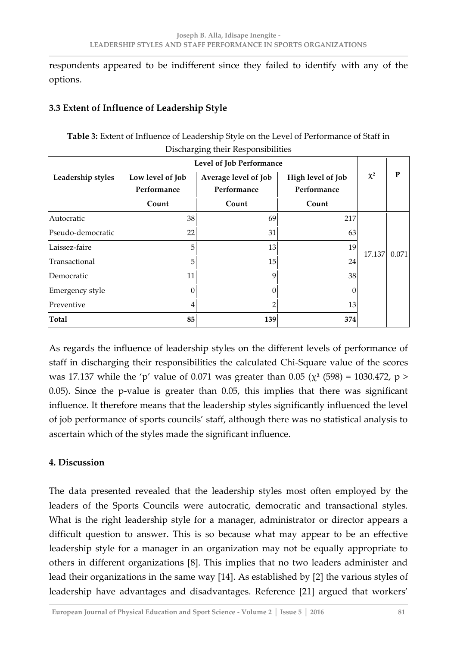respondents appeared to be indifferent since they failed to identify with any of the options.

# **3.3 Extent of Influence of Leadership Style**

|                          |                                 | Discharging their Responsibilities                                      |       |          |       |  |  |
|--------------------------|---------------------------------|-------------------------------------------------------------------------|-------|----------|-------|--|--|
| Level of Job Performance |                                 |                                                                         |       |          |       |  |  |
| Leadership styles        | Low level of Job<br>Performance | High level of Job<br>Average level of Job<br>Performance<br>Performance |       | $\chi^2$ | P     |  |  |
|                          | Count                           | Count                                                                   | Count |          |       |  |  |
| Autocratic               | 38                              | 69                                                                      | 217   |          | 0.071 |  |  |
| Pseudo-democratic        | 22                              | 31                                                                      | 63    | 17.137   |       |  |  |
| Laissez-faire            | 5                               | 13                                                                      | 19    |          |       |  |  |
| Transactional            | 5                               | 15                                                                      | 24    |          |       |  |  |
| Democratic               | 11                              | 9                                                                       | 38    |          |       |  |  |
| Emergency style          | 0                               | 0                                                                       | 0     |          |       |  |  |
| Preventive               |                                 | $\overline{2}$                                                          | 13    |          |       |  |  |
| <b>Total</b>             | 85                              | 139                                                                     | 374   |          |       |  |  |

**Table 3:** Extent of Influence of Leadership Style on the Level of Performance of Staff in

As regards the influence of leadership styles on the different levels of performance of staff in discharging their responsibilities the calculated Chi-Square value of the scores was 17.137 while the 'p' value of 0.071 was greater than 0.05 ( $\chi^2$  (598) = 1030.472, p > 0.05). Since the p-value is greater than 0.05, this implies that there was significant influence. It therefore means that the leadership styles significantly influenced the level of job performance of sports councils' staff, although there was no statistical analysis to ascertain which of the styles made the significant influence.

# **4. Discussion**

The data presented revealed that the leadership styles most often employed by the leaders of the Sports Councils were autocratic, democratic and transactional styles. What is the right leadership style for a manager, administrator or director appears a difficult question to answer. This is so because what may appear to be an effective leadership style for a manager in an organization may not be equally appropriate to others in different organizations [8]. This implies that no two leaders administer and lead their organizations in the same way [14]. As established by [2] the various styles of leadership have advantages and disadvantages. Reference [21] argued that workers'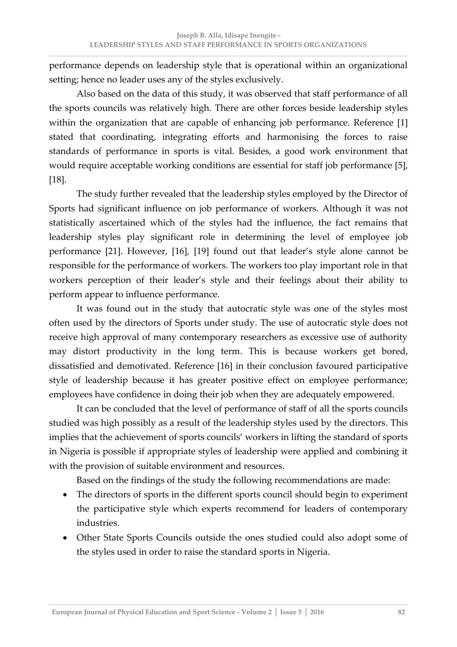performance depends on leadership style that is operational within an organizational setting; hence no leader uses any of the styles exclusively.

 Also based on the data of this study, it was observed that staff performance of all the sports councils was relatively high. There are other forces beside leadership styles within the organization that are capable of enhancing job performance. Reference [1] stated that coordinating, integrating efforts and harmonising the forces to raise standards of performance in sports is vital. Besides, a good work environment that would require acceptable working conditions are essential for staff job performance [5], [18].

 The study further revealed that the leadership styles employed by the Director of Sports had significant influence on job performance of workers. Although it was not statistically ascertained which of the styles had the influence, the fact remains that leadership styles play significant role in determining the level of employee job performance [21]. However, [16], [19] found out that leader's style alone cannot be responsible for the performance of workers. The workers too play important role in that workers perception of their leader's style and their feelings about their ability to perform appear to influence performance.

 It was found out in the study that autocratic style was one of the styles most often used by the directors of Sports under study. The use of autocratic style does not receive high approval of many contemporary researchers as excessive use of authority may distort productivity in the long term. This is because workers get bored, dissatisfied and demotivated. Reference [16] in their conclusion favoured participative style of leadership because it has greater positive effect on employee performance; employees have confidence in doing their job when they are adequately empowered.

 It can be concluded that the level of performance of staff of all the sports councils studied was high possibly as a result of the leadership styles used by the directors. This implies that the achievement of sports councils' workers in lifting the standard of sports in Nigeria is possible if appropriate styles of leadership were applied and combining it with the provision of suitable environment and resources.

Based on the findings of the study the following recommendations are made:

- The directors of sports in the different sports council should begin to experiment the participative style which experts recommend for leaders of contemporary industries.
- Other State Sports Councils outside the ones studied could also adopt some of the styles used in order to raise the standard sports in Nigeria.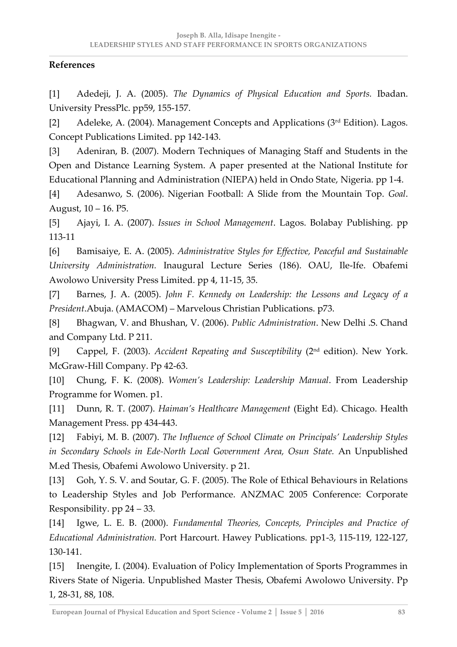# **References**

[1] Adedeji, J. A. (2005). *The Dynamics of Physical Education and Sports.* Ibadan. University PressPlc. pp59, 155-157.

[2] Adeleke, A. (2004). Management Concepts and Applications ( $3<sup>rd</sup>$  Edition). Lagos. Concept Publications Limited. pp 142-143.

[3] Adeniran, B. (2007). Modern Techniques of Managing Staff and Students in the Open and Distance Learning System. A paper presented at the National Institute for Educational Planning and Administration (NIEPA) held in Ondo State, Nigeria. pp 1-4.

[4] Adesanwo, S. (2006). Nigerian Football: A Slide from the Mountain Top. *Goal*. August, 10 – 16. P5.

[5] Ajayi, I. A. (2007). *Issues in School Management*. Lagos. Bolabay Publishing. pp 113-11

[6] Bamisaiye, E. A. (2005). *Administrative Styles for Effective, Peaceful and Sustainable University Administration.* Inaugural Lecture Series (186). OAU, Ile-Ife. Obafemi Awolowo University Press Limited. pp 4, 11-15, 35.

[7] Barnes, J. A. (2005). *John F. Kennedy on Leadership: the Lessons and Legacy of a President*.Abuja. (AMACOM) – Marvelous Christian Publications. p73.

[8] Bhagwan, V. and Bhushan, V. (2006). *Public Administration*. New Delhi .S. Chand and Company Ltd. P 211.

[9] Cappel, F. (2003). *Accident Repeating and Susceptibility* (2nd edition). New York. McGraw-Hill Company. Pp 42-63.

[10] Chung, F. K. (2008). *Women's Leadership: Leadership Manual*. From Leadership Programme for Women. p1.

[11] Dunn, R. T. (2007). *Haiman's Healthcare Management* (Eight Ed). Chicago. Health Management Press. pp 434-443.

[12] Fabiyi, M. B. (2007). *The Influence of School Climate on Principals' Leadership Styles in Secondary Schools in Ede-North Local Government Area, Osun State.* An Unpublished M.ed Thesis, Obafemi Awolowo University. p 21.

[13] Goh, Y. S. V. and Soutar, G. F. (2005). The Role of Ethical Behaviours in Relations to Leadership Styles and Job Performance. ANZMAC 2005 Conference: Corporate Responsibility. pp 24 – 33.

[14] Igwe, L. E. B. (2000). *Fundamental Theories, Concepts, Principles and Practice of Educational Administration.* Port Harcourt. Hawey Publications. pp1-3, 115-119, 122-127, 130-141.

[15] Inengite, I. (2004). Evaluation of Policy Implementation of Sports Programmes in Rivers State of Nigeria. Unpublished Master Thesis, Obafemi Awolowo University. Pp 1, 28-31, 88, 108.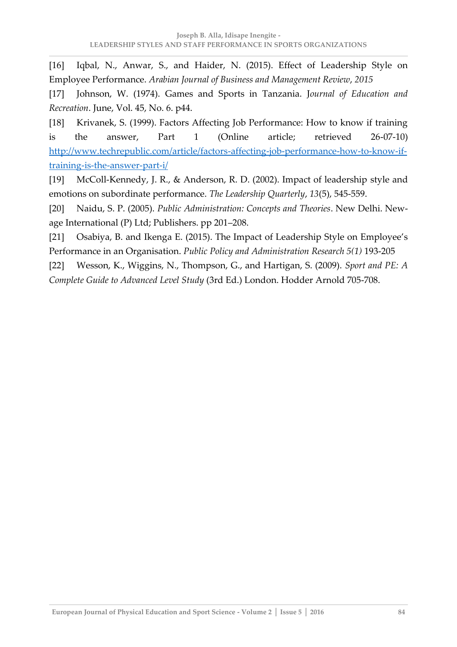[16] Iqbal, N., Anwar, S., and Haider, N. (2015). Effect of Leadership Style on Employee Performance. *Arabian Journal of Business and Management Review*, *2015*

[17] Johnson, W. (1974). Games and Sports in Tanzania. J*ournal of Education and Recreation*. June, Vol. 45, No. 6. p44.

[18] Krivanek, S. (1999). Factors Affecting Job Performance: How to know if training is the answer, Part 1 (Online article; retrieved 26-07-10) http://www.techrepublic.com/article/factors-affecting-job-performance-how-to-know-iftraining-is-the-answer-part-i/

[19] McColl-Kennedy, J. R., & Anderson, R. D. (2002). Impact of leadership style and emotions on subordinate performance. *The Leadership Quarterly*, *13*(5), 545-559.

[20] Naidu, S. P. (2005). *Public Administration: Concepts and Theories*. New Delhi. Newage International (P) Ltd; Publishers. pp 201–208.

[21] Osabiya, B. and Ikenga E. (2015). The Impact of Leadership Style on Employee's Performance in an Organisation. *Public Policy and Administration Research 5(1)* 193-205

[22] Wesson, K., Wiggins, N., Thompson, G., and Hartigan, S. (2009). *Sport and PE: A Complete Guide to Advanced Level Study* (3rd Ed.) London. Hodder Arnold 705-708.